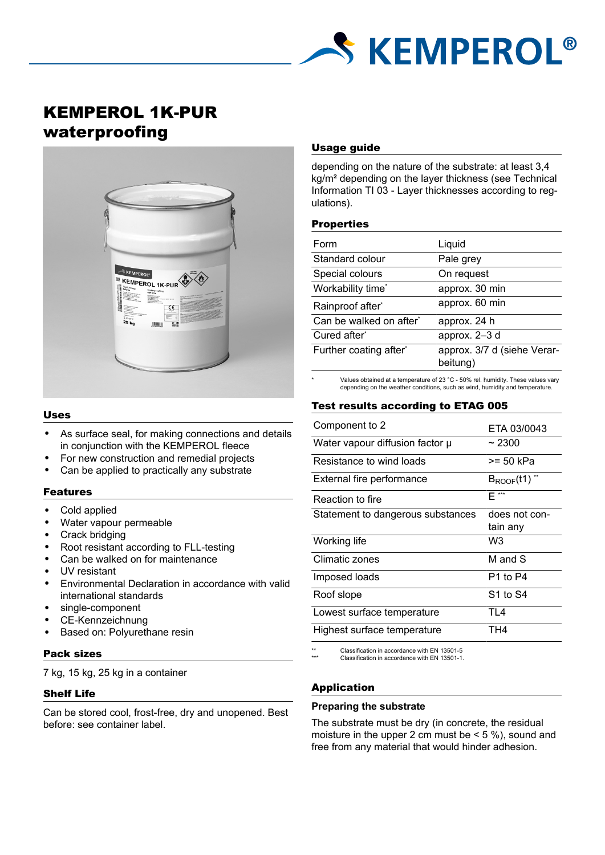

# KEMPEROL 1K-PUR waterproofing



#### Uses

- As surface seal, for making connections and details in conjunction with the KEMPEROL fleece
- For new construction and remedial projects
- Can be applied to practically any substrate

#### Features

- Cold applied
- Water vapour permeable
- **Crack bridging**
- Root resistant according to FLL-testing
- Can be walked on for maintenance
- UV resistant
- Environmental Declaration in accordance with valid international standards
- single-component
- CE-Kennzeichnung
- Based on: Polyurethane resin

#### Pack sizes

7 kg, 15 kg, 25 kg in a container

## Shelf Life

Can be stored cool, frost-free, dry and unopened. Best before: see container label.

## Usage guide

depending on the nature of the substrate: at least 3,4 kg/m² depending on the layer thickness (see Technical Information TI 03 - Layer thicknesses according to regulations).

## Properties

| Form                    | Liquid                                  |
|-------------------------|-----------------------------------------|
| Standard colour         | Pale grey                               |
| Special colours         | On request                              |
| Workability time*       | approx. 30 min                          |
| Rainproof after*        | approx. 60 min                          |
| Can be walked on after* | approx. 24 h                            |
| Cured after*            | approx. 2-3 d                           |
| Further coating after*  | approx. 3/7 d (siehe Verar-<br>beitung) |

\* Values obtained at a temperature of 23 °C - 50% rel. humidity. These values vary depending on the weather conditions, such as wind, humidity and temperature.

## Test results according to ETAG 005

| Component to 2                    | ETA 03/0043               |
|-----------------------------------|---------------------------|
| Water vapour diffusion factor µ   | ~2300                     |
| Resistance to wind loads          | >= 50 kPa                 |
| External fire performance         | $B_{ROOF}(t1)$            |
| Reaction to fire                  | $E***$                    |
| Statement to dangerous substances | does not con-<br>tain any |
| Working life                      | W3                        |
| Climatic zones                    | M and S                   |
| Imposed loads                     | P1 to P4                  |
| Roof slope                        | S1 to S4                  |
| Lowest surface temperature        | TI 4                      |
| Highest surface temperature       | TH4                       |
|                                   |                           |

Classification in accordance with EN 13501-5 Classification in accordance with EN 13501-1.

## Application

## **Preparing the substrate**

The substrate must be dry (in concrete, the residual moisture in the upper 2 cm must be  $\leq$  5 %), sound and free from any material that would hinder adhesion.